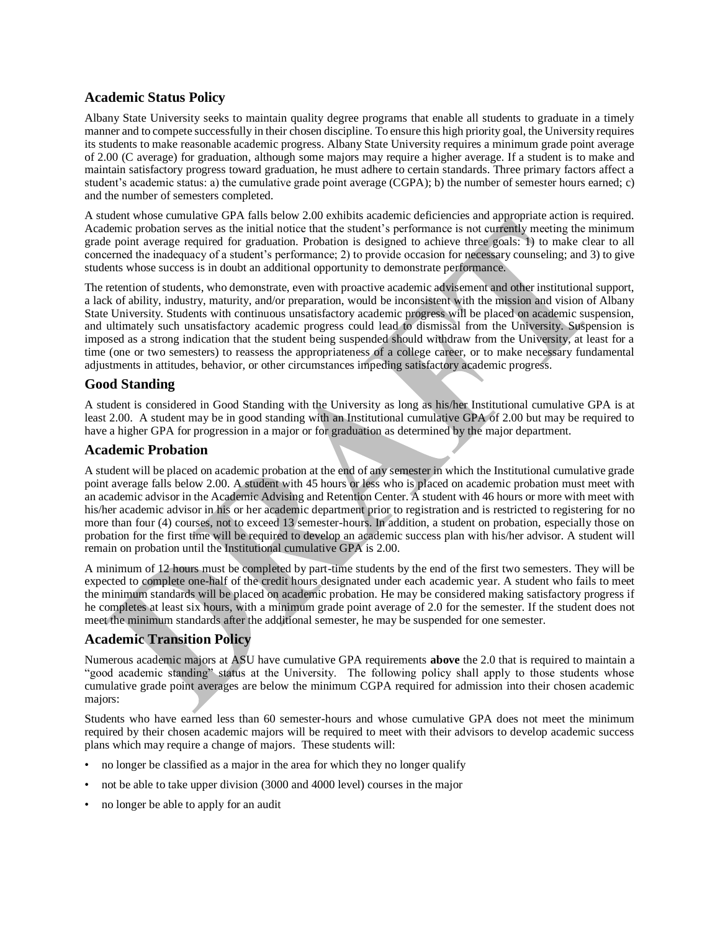# **Academic Status Policy**

Albany State University seeks to maintain quality degree programs that enable all students to graduate in a timely manner and to compete successfully in their chosen discipline. To ensure this high priority goal, the University requires its students to make reasonable academic progress. Albany State University requires a minimum grade point average of 2.00 (C average) for graduation, although some majors may require a higher average. If a student is to make and maintain satisfactory progress toward graduation, he must adhere to certain standards. Three primary factors affect a student's academic status: a) the cumulative grade point average (CGPA); b) the number of semester hours earned; c) and the number of semesters completed.

A student whose cumulative GPA falls below 2.00 exhibits academic deficiencies and appropriate action is required. Academic probation serves as the initial notice that the student's performance is not currently meeting the minimum grade point average required for graduation. Probation is designed to achieve three goals: 1) to make clear to all concerned the inadequacy of a student's performance; 2) to provide occasion for necessary counseling; and 3) to give students whose success is in doubt an additional opportunity to demonstrate performance.

The retention of students, who demonstrate, even with proactive academic advisement and other institutional support, a lack of ability, industry, maturity, and/or preparation, would be inconsistent with the mission and vision of Albany State University. Students with continuous unsatisfactory academic progress will be placed on academic suspension, and ultimately such unsatisfactory academic progress could lead to dismissal from the University. Suspension is imposed as a strong indication that the student being suspended should withdraw from the University, at least for a time (one or two semesters) to reassess the appropriateness of a college career, or to make necessary fundamental adjustments in attitudes, behavior, or other circumstances impeding satisfactory academic progress.

# **Good Standing**

A student is considered in Good Standing with the University as long as his/her Institutional cumulative GPA is at least 2.00. A student may be in good standing with an Institutional cumulative GPA of 2.00 but may be required to have a higher GPA for progression in a major or for graduation as determined by the major department.

# **Academic Probation**

A student will be placed on academic probation at the end of any semester in which the Institutional cumulative grade point average falls below 2.00. A student with 45 hours or less who is placed on academic probation must meet with an academic advisor in the Academic Advising and Retention Center. A student with 46 hours or more with meet with his/her academic advisor in his or her academic department prior to registration and is restricted to registering for no more than four (4) courses, not to exceed 13 semester-hours. In addition, a student on probation, especially those on probation for the first time will be required to develop an academic success plan with his/her advisor. A student will remain on probation until the Institutional cumulative GPA is 2.00.

A minimum of 12 hours must be completed by part-time students by the end of the first two semesters. They will be expected to complete one-half of the credit hours designated under each academic year. A student who fails to meet the minimum standards will be placed on academic probation. He may be considered making satisfactory progress if he completes at least six hours, with a minimum grade point average of 2.0 for the semester. If the student does not meet the minimum standards after the additional semester, he may be suspended for one semester.

# **Academic Transition Policy**

Numerous academic majors at ASU have cumulative GPA requirements **above** the 2.0 that is required to maintain a "good academic standing" status at the University. The following policy shall apply to those students whose cumulative grade point averages are below the minimum CGPA required for admission into their chosen academic majors:

Students who have earned less than 60 semester-hours and whose cumulative GPA does not meet the minimum required by their chosen academic majors will be required to meet with their advisors to develop academic success plans which may require a change of majors. These students will:

- no longer be classified as a major in the area for which they no longer qualify
- not be able to take upper division (3000 and 4000 level) courses in the major
- no longer be able to apply for an audit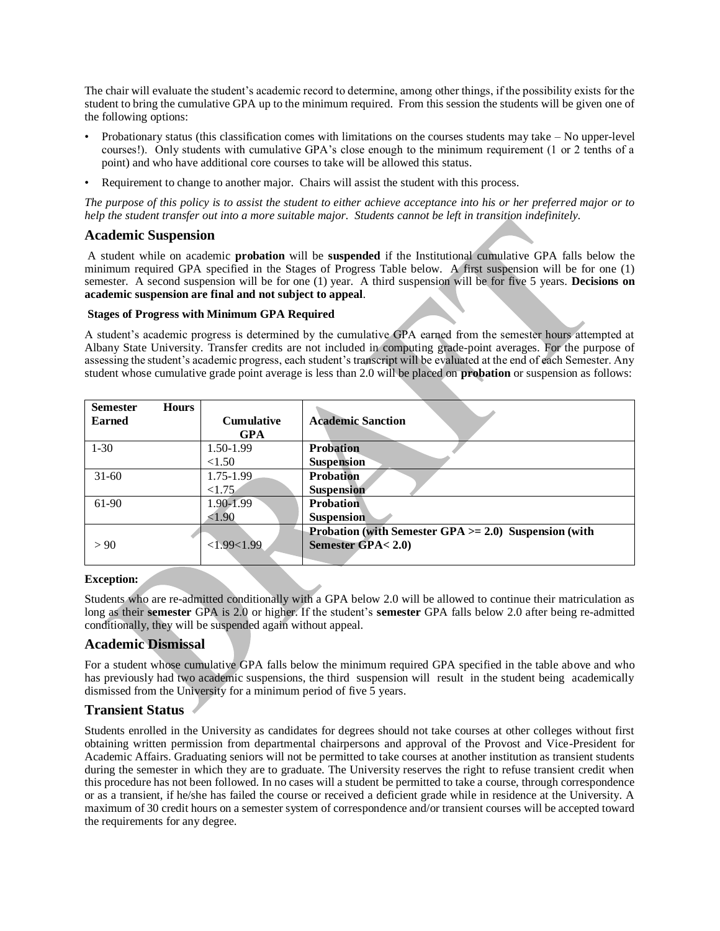The chair will evaluate the student's academic record to determine, among other things, if the possibility exists for the student to bring the cumulative GPA up to the minimum required. From this session the students will be given one of the following options:

- Probationary status (this classification comes with limitations on the courses students may take No upper-level courses!). Only students with cumulative GPA's close enough to the minimum requirement (1 or 2 tenths of a point) and who have additional core courses to take will be allowed this status.
- Requirement to change to another major. Chairs will assist the student with this process.

*The purpose of this policy is to assist the student to either achieve acceptance into his or her preferred major or to help the student transfer out into a more suitable major. Students cannot be left in transition indefinitely.*

### **Academic Suspension**

A student while on academic **probation** will be **suspended** if the Institutional cumulative GPA falls below the minimum required GPA specified in the Stages of Progress Table below. A first suspension will be for one (1) semester. A second suspension will be for one (1) year. A third suspension will be for five 5 years. **Decisions on academic suspension are final and not subject to appeal**.

#### **Stages of Progress with Minimum GPA Required**

A student's academic progress is determined by the cumulative GPA earned from the semester hours attempted at Albany State University. Transfer credits are not included in computing grade-point averages. For the purpose of assessing the student's academic progress, each student's transcript will be evaluated at the end of each Semester. Any student whose cumulative grade point average is less than 2.0 will be placed on **probation** or suspension as follows:

| <b>Semester</b> | <b>Hours</b> |                   |                                                          |
|-----------------|--------------|-------------------|----------------------------------------------------------|
| <b>Earned</b>   |              | <b>Cumulative</b> | <b>Academic Sanction</b>                                 |
|                 |              | <b>GPA</b>        |                                                          |
| $1 - 30$        |              | 1.50-1.99         | <b>Probation</b>                                         |
|                 |              | < 1.50            | <b>Suspension</b>                                        |
| $31 - 60$       |              | 1.75-1.99         | <b>Probation</b>                                         |
|                 |              | < 1.75            | <b>Suspension</b>                                        |
| 61-90           |              | 1.90-1.99         | <b>Probation</b>                                         |
|                 |              | < 1.90            | <b>Suspension</b>                                        |
|                 |              |                   | Probation (with Semester GPA $>= 2.0$ ) Suspension (with |
| > 90            |              | <1.99<1.99        | Semester GPA< 2.0)                                       |
|                 |              |                   |                                                          |

### **Exception:**

Students who are re-admitted conditionally with a GPA below 2.0 will be allowed to continue their matriculation as long as their **semester** GPA is 2.0 or higher. If the student's **semester** GPA falls below 2.0 after being re-admitted conditionally, they will be suspended again without appeal.

## **Academic Dismissal**

For a student whose cumulative GPA falls below the minimum required GPA specified in the table above and who has previously had two academic suspensions, the third suspension will result in the student being academically dismissed from the University for a minimum period of five 5 years.

## **Transient Status**

Students enrolled in the University as candidates for degrees should not take courses at other colleges without first obtaining written permission from departmental chairpersons and approval of the Provost and Vice-President for Academic Affairs. Graduating seniors will not be permitted to take courses at another institution as transient students during the semester in which they are to graduate. The University reserves the right to refuse transient credit when this procedure has not been followed. In no cases will a student be permitted to take a course, through correspondence or as a transient, if he/she has failed the course or received a deficient grade while in residence at the University. A maximum of 30 credit hours on a semester system of correspondence and/or transient courses will be accepted toward the requirements for any degree.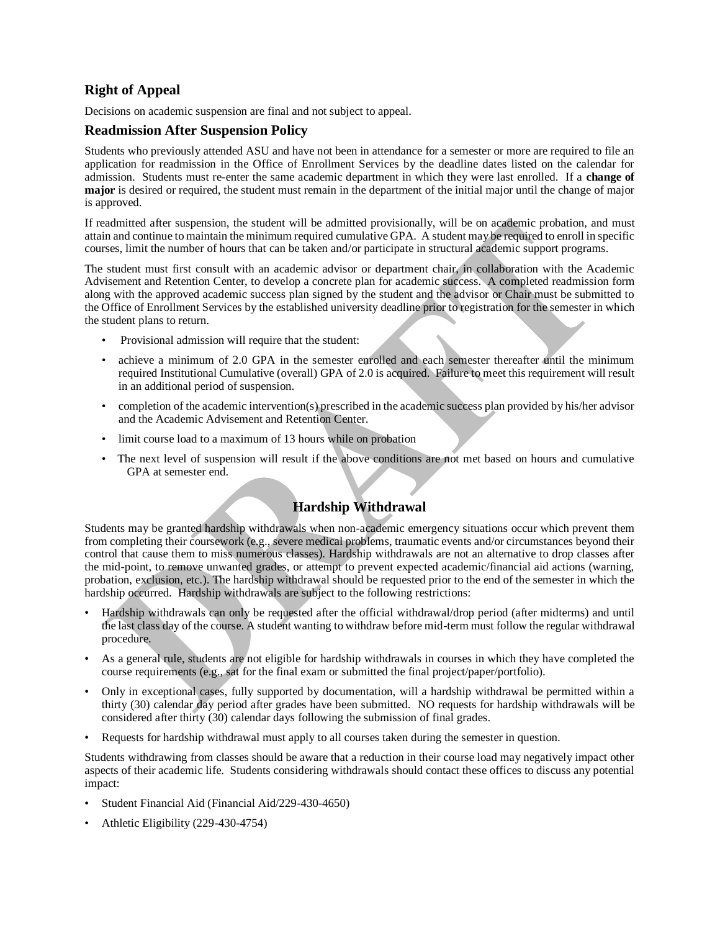# **Right of Appeal**

Decisions on academic suspension are final and not subject to appeal.

## **Readmission After Suspension Policy**

Students who previously attended ASU and have not been in attendance for a semester or more are required to file an application for readmission in the Office of Enrollment Services by the deadline dates listed on the calendar for admission. Students must re-enter the same academic department in which they were last enrolled. If a **change of major** is desired or required, the student must remain in the department of the initial major until the change of major is approved.

If readmitted after suspension, the student will be admitted provisionally, will be on academic probation, and must attain and continue to maintain the minimum required cumulative GPA. A student may be required to enroll in specific courses, limit the number of hours that can be taken and/or participate in structural academic support programs.

The student must first consult with an academic advisor or department chair, in collaboration with the Academic Advisement and Retention Center, to develop a concrete plan for academic success. A completed readmission form along with the approved academic success plan signed by the student and the advisor or Chair must be submitted to the Office of Enrollment Services by the established university deadline prior to registration for the semester in which the student plans to return.

- Provisional admission will require that the student:
- achieve a minimum of 2.0 GPA in the semester enrolled and each semester thereafter until the minimum required Institutional Cumulative (overall) GPA of 2.0 is acquired. Failure to meet this requirement will result in an additional period of suspension.
- completion of the academic intervention(s) prescribed in the academic success plan provided by his/her advisor and the Academic Advisement and Retention Center.
- limit course load to a maximum of 13 hours while on probation
- The next level of suspension will result if the above conditions are not met based on hours and cumulative GPA at semester end.

# **Hardship Withdrawal**

Students may be granted hardship withdrawals when non-academic emergency situations occur which prevent them from completing their coursework (e.g., severe medical problems, traumatic events and/or circumstances beyond their control that cause them to miss numerous classes). Hardship withdrawals are not an alternative to drop classes after the mid-point, to remove unwanted grades, or attempt to prevent expected academic/financial aid actions (warning, probation, exclusion, etc.). The hardship withdrawal should be requested prior to the end of the semester in which the hardship occurred. Hardship withdrawals are subject to the following restrictions:

- Hardship withdrawals can only be requested after the official withdrawal/drop period (after midterms) and until the last class day of the course. A student wanting to withdraw before mid-term must follow the regular withdrawal procedure.
- As a general rule, students are not eligible for hardship withdrawals in courses in which they have completed the course requirements (e.g., sat for the final exam or submitted the final project/paper/portfolio).
- Only in exceptional cases, fully supported by documentation, will a hardship withdrawal be permitted within a thirty (30) calendar day period after grades have been submitted. NO requests for hardship withdrawals will be considered after thirty (30) calendar days following the submission of final grades.
- Requests for hardship withdrawal must apply to all courses taken during the semester in question.

Students withdrawing from classes should be aware that a reduction in their course load may negatively impact other aspects of their academic life. Students considering withdrawals should contact these offices to discuss any potential impact:

- Student Financial Aid (Financial Aid/229-430-4650)
- Athletic Eligibility (229-430-4754)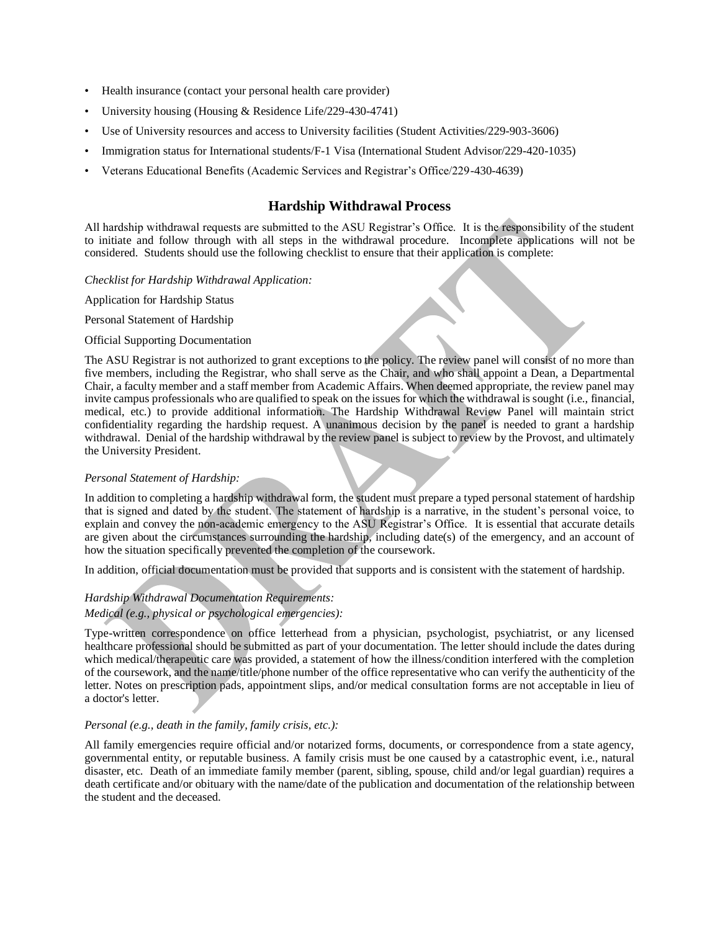- Health insurance (contact your personal health care provider)
- University housing (Housing & Residence Life/229-430-4741)
- Use of University resources and access to University facilities (Student Activities/229-903-3606)
- Immigration status for International students/F-1 Visa (International Student Advisor/229-420-1035)
- Veterans Educational Benefits (Academic Services and Registrar's Office/229-430-4639)

# **Hardship Withdrawal Process**

All hardship withdrawal requests are submitted to the ASU Registrar's Office. It is the responsibility of the student to initiate and follow through with all steps in the withdrawal procedure. Incomplete applications will not be considered. Students should use the following checklist to ensure that their application is complete:

#### *Checklist for Hardship Withdrawal Application:*

Application for Hardship Status

Personal Statement of Hardship

#### Official Supporting Documentation

The ASU Registrar is not authorized to grant exceptions to the policy. The review panel will consist of no more than five members, including the Registrar, who shall serve as the Chair, and who shall appoint a Dean, a Departmental Chair, a faculty member and a staff member from Academic Affairs. When deemed appropriate, the review panel may invite campus professionals who are qualified to speak on the issues for which the withdrawal is sought (i.e., financial, medical, etc.) to provide additional information. The Hardship Withdrawal Review Panel will maintain strict confidentiality regarding the hardship request. A unanimous decision by the panel is needed to grant a hardship withdrawal. Denial of the hardship withdrawal by the review panel is subject to review by the Provost, and ultimately the University President.

### *Personal Statement of Hardship:*

In addition to completing a hardship withdrawal form, the student must prepare a typed personal statement of hardship that is signed and dated by the student. The statement of hardship is a narrative, in the student's personal voice, to explain and convey the non-academic emergency to the ASU Registrar's Office. It is essential that accurate details are given about the circumstances surrounding the hardship, including date(s) of the emergency, and an account of how the situation specifically prevented the completion of the coursework.

In addition, official documentation must be provided that supports and is consistent with the statement of hardship.

### *Hardship Withdrawal Documentation Requirements:*

### *Medical (e.g., physical or psychological emergencies):*

Type-written correspondence on office letterhead from a physician, psychologist, psychiatrist, or any licensed healthcare professional should be submitted as part of your documentation. The letter should include the dates during which medical/therapeutic care was provided, a statement of how the illness/condition interfered with the completion of the coursework, and the name/title/phone number of the office representative who can verify the authenticity of the letter. Notes on prescription pads, appointment slips, and/or medical consultation forms are not acceptable in lieu of a doctor's letter.

#### *Personal (e.g., death in the family, family crisis, etc.):*

All family emergencies require official and/or notarized forms, documents, or correspondence from a state agency, governmental entity, or reputable business. A family crisis must be one caused by a catastrophic event, i.e., natural disaster, etc. Death of an immediate family member (parent, sibling, spouse, child and/or legal guardian) requires a death certificate and/or obituary with the name/date of the publication and documentation of the relationship between the student and the deceased.